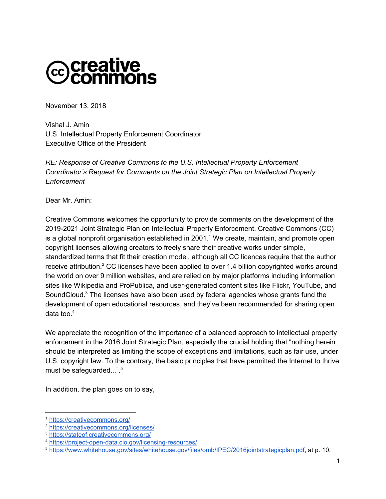

November 13, 2018

Vishal J. Amin U.S. Intellectual Property Enforcement Coordinator Executive Office of the President

*RE: Response of Creative Commons to the U.S. Intellectual Property Enforcement Coordinator's Request for Comments on the Joint Strategic Plan on Intellectual Property Enforcement*

Dear Mr. Amin:

Creative Commons welcomes the opportunity to provide comments on the development of the 2019-2021 Joint Strategic Plan on Intellectual Property Enforcement. Creative Commons (CC) is a global nonprofit organisation established in 2001.<sup>1</sup> We create, maintain, and promote open copyright licenses allowing creators to freely share their creative works under simple, standardized terms that fit their creation model, although all CC licences require that the author receive attribution.<sup>2</sup> CC licenses have been applied to over 1.4 billion copyrighted works around the world on over 9 million websites, and are relied on by major platforms including information sites like Wikipedia and ProPublica, and user-generated content sites like Flickr, YouTube, and SoundCloud. $3$  The licenses have also been used by federal agencies whose grants fund the development of open educational resources, and they've been recommended for sharing open data too. 4

We appreciate the recognition of the importance of a balanced approach to intellectual property enforcement in the 2016 Joint Strategic Plan, especially the crucial holding that "nothing herein should be interpreted as limiting the scope of exceptions and limitations, such as fair use, under U.S. copyright law. To the contrary, the basic principles that have permitted the Internet to thrive must be safeguarded...".<sup>5</sup>

In addition, the plan goes on to say,

<sup>1</sup> <https://creativecommons.org/>

<sup>2</sup> <https://creativecommons.org/licenses/>

<sup>3</sup> <https://stateof.creativecommons.org/>

<sup>4</sup> <https://project-open-data.cio.gov/licensing-resources/>

<sup>5</sup> <https://www.whitehouse.gov/sites/whitehouse.gov/files/omb/IPEC/2016jointstrategicplan.pdf>, at p. 10.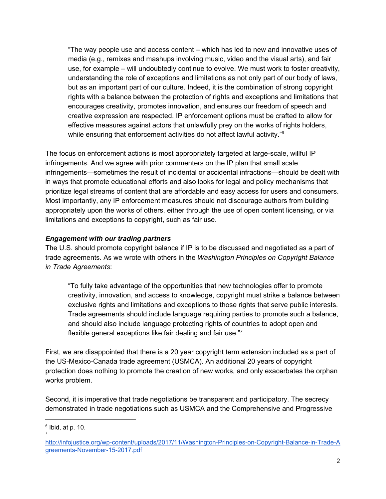"The way people use and access content – which has led to new and innovative uses of media (e.g., remixes and mashups involving music, video and the visual arts), and fair use, for example – will undoubtedly continue to evolve. We must work to foster creativity, understanding the role of exceptions and limitations as not only part of our body of laws, but as an important part of our culture. Indeed, it is the combination of strong copyright rights with a balance between the protection of rights and exceptions and limitations that encourages creativity, promotes innovation, and ensures our freedom of speech and creative expression are respected. IP enforcement options must be crafted to allow for effective measures against actors that unlawfully prey on the works of rights holders, while ensuring that enforcement activities do not affect lawful activity."<sup>6</sup>

The focus on enforcement actions is most appropriately targeted at large-scale, willful IP infringements. And we agree with prior commenters on the IP plan that small scale infringements—sometimes the result of incidental or accidental infractions—should be dealt with in ways that promote educational efforts and also looks for legal and policy mechanisms that prioritize legal streams of content that are affordable and easy access for users and consumers. Most importantly, any IP enforcement measures should not discourage authors from building appropriately upon the works of others, either through the use of open content licensing, or via limitations and exceptions to copyright, such as fair use.

## *Engagement with our trading partners*

The U.S. should promote copyright balance if IP is to be discussed and negotiated as a part of trade agreements. As we wrote with others in the *Washington Principles on Copyright Balance in Trade Agreements*:

"To fully take advantage of the opportunities that new technologies offer to promote creativity, innovation, and access to knowledge, copyright must strike a balance between exclusive rights and limitations and exceptions to those rights that serve public interests. Trade agreements should include language requiring parties to promote such a balance, and should also include language protecting rights of countries to adopt open and flexible general exceptions like fair dealing and fair use." *7*

First, we are disappointed that there is a 20 year copyright term extension included as a part of the US-Mexico-Canada trade agreement (USMCA). An additional 20 years of copyright protection does nothing to promote the creation of new works, and only exacerbates the orphan works problem.

Second, it is imperative that trade negotiations be transparent and participatory. The secrecy demonstrated in trade negotiations such as USMCA and the Comprehensive and Progressive

 $6$  Ibid, at p. 10. 7

[http://infojustice.org/wp-content/uploads/2017/11/Washington-Principles-on-Copyright-Balance-in-Trade-A](http://infojustice.org/wp-content/uploads/2017/11/Washington-Principles-on-Copyright-Balance-in-Trade-Agreements-November-15-2017.pdf) [greements-November-15-2017.pdf](http://infojustice.org/wp-content/uploads/2017/11/Washington-Principles-on-Copyright-Balance-in-Trade-Agreements-November-15-2017.pdf)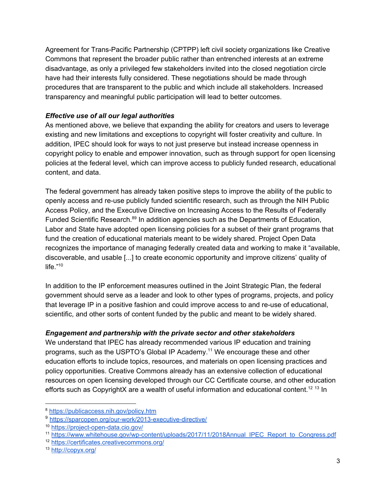Agreement for Trans-Pacific Partnership (CPTPP) left civil society organizations like Creative Commons that represent the broader public rather than entrenched interests at an extreme disadvantage, as only a privileged few stakeholders invited into the closed negotiation circle have had their interests fully considered. These negotiations should be made through procedures that are transparent to the public and which include all stakeholders. Increased transparency and meaningful public participation will lead to better outcomes.

## *Effective use of all our legal authorities*

As mentioned above, we believe that expanding the ability for creators and users to leverage existing and new limitations and exceptions to copyright will foster creativity and culture. In addition, IPEC should look for ways to not just preserve but instead increase openness in copyright policy to enable and empower innovation, such as through support for open licensing policies at the federal level, which can improve access to publicly funded research, educational content, and data.

The federal government has already taken positive steps to improve the ability of the public to openly access and re-use publicly funded scientific research, such as through the NIH Public Access Policy, and the Executive Directive on Increasing Access to the Results of Federally Funded Scientific Research.<sup>89</sup> In addition agencies such as the Departments of Education, Labor and State have adopted open licensing policies for a subset of their grant programs that fund the creation of educational materials meant to be widely shared. Project Open Data recognizes the importance of managing federally created data and working to make it "available, discoverable, and usable [...] to create economic opportunity and improve citizens' quality of life." 10

In addition to the IP enforcement measures outlined in the Joint Strategic Plan, the federal government should serve as a leader and look to other types of programs, projects, and policy that leverage IP in a positive fashion and could improve access to and re-use of educational, scientific, and other sorts of content funded by the public and meant to be widely shared.

## *Engagement and partnership with the private sector and other stakeholders*

We understand that IPEC has already recommended various IP education and training programs, such as the USPTO's Global IP Academy.<sup>11</sup> We encourage these and other education efforts to include topics, resources, and materials on open licensing practices and policy opportunities. Creative Commons already has an extensive collection of educational resources on open licensing developed through our CC Certificate course, and other education efforts such as CopyrightX are a wealth of useful information and educational content.<sup>12 13</sup> In

<sup>8</sup> <https://publicaccess.nih.gov/policy.htm>

<sup>9</sup> <https://sparcopen.org/our-work/2013-executive-directive/>

<sup>10</sup> <https://project-open-data.cio.gov/>

<sup>11</sup> [https://www.whitehouse.gov/wp-content/uploads/2017/11/2018Annual\\_IPEC\\_Report\\_to\\_Congress.pdf](https://www.whitehouse.gov/wp-content/uploads/2017/11/2018Annual_IPEC_Report_to_Congress.pdf)

<sup>12</sup> <https://certificates.creativecommons.org/>

<sup>13</sup> <http://copyx.org/>